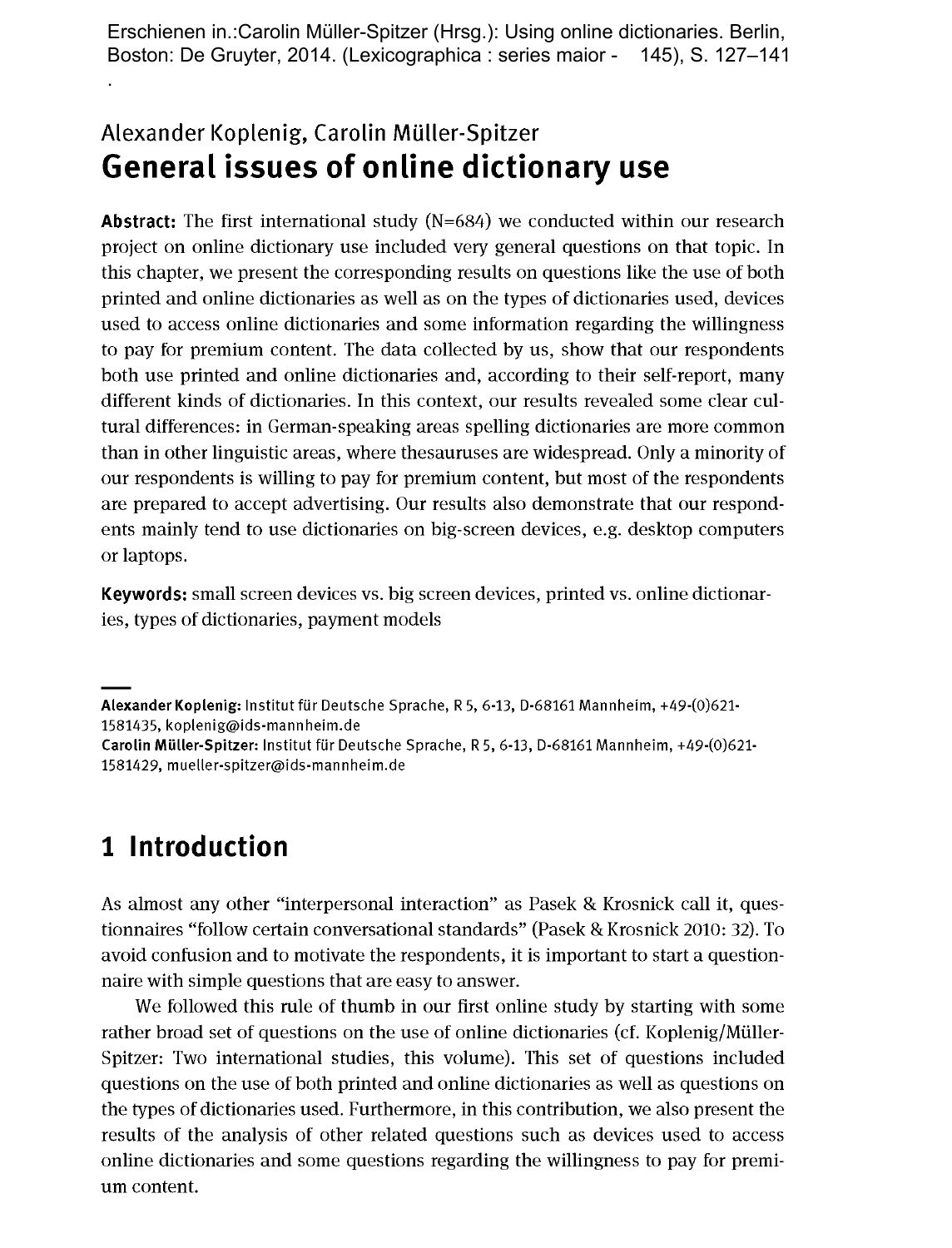Erschienen in.:Carolin Müller-Spitzer (Hrsg.): Using online dictionaries. Berlin, Boston: De Gruyter, 2014. (Lexicographica : series maior - 145), S. 127–141

# **Alexander Koplenig, Carolin Müller-Spitzer General issues of online dictionary use**

**Abstract:** The first international study (N=684) we conducted within our research project on online dictionary use included very general questions on that topic. In this chapter, we present the corresponding results on questions like the use of both printed and online dictionaries as well as on the types of dictionaries used, devices used to access online dictionaries and some information regarding the willingness to pay for premium content. The data collected by us, show that our respondents both use printed and online dictionaries and, according to their self-report, many different kinds of dictionaries. In this context, our results revealed some clear cultural differences: in German-speaking areas spelling dictionaries are more common than in other linguistic areas, where thesauruses are widespread. Only a minority of our respondents is willing to pay for premium content, but most of the respondents are prepared to accept advertising. Our results also demonstrate that our respondents mainly tend to use dictionaries on big-screen devices, e.g. desktop computers or laptops.

**Keywords:** small screen devices vs. big screen devices, printed vs. online dictionaries, types of dictionaries, payment models

**Alexander Koplenig:** Institut für Deutsche Sprache, R 5, 6-13, D-68161 Mannheim, +49-(0)621- 1581435, [koplenig@ ids-mannheim.de](mailto:koplenig@ids-mannheim.de)

**Carolin Müller-Spitzer:** Institut für Deutsche Sprache, R 5, 6-13, D-68161 Mannheim, +49-(0)621- 1581429, [mueller-spitzer@ids-mannheim.de](mailto:mueller-spitzer@ids-mannheim.de)

# **1 Introduction**

.

As almost any other "interpersonal interaction" as Pasek & Krosnick call it, questionnaires "follow certain conversational Standards" (Pasek & Krosnick 2010: 32). To avoid confusion and to motivate the respondents, it is important to start a questionnaire with simple questions that are easy to answer.

We followed this rule of thumb in our first online study by starting with some rather broad set of questions on the use of online dictionaries (cf. Koplenig/Müller-Spitzer: Two international studies, this volume). This set of questions included questions on the use of both printed and online dictionaries as well as questions on the types of dictionaries used. Furthermore, in this contribution, we also present the results of the analysis of other related questions such as devices used to access online dictionaries and some questions regarding the willingness to pay for premium content.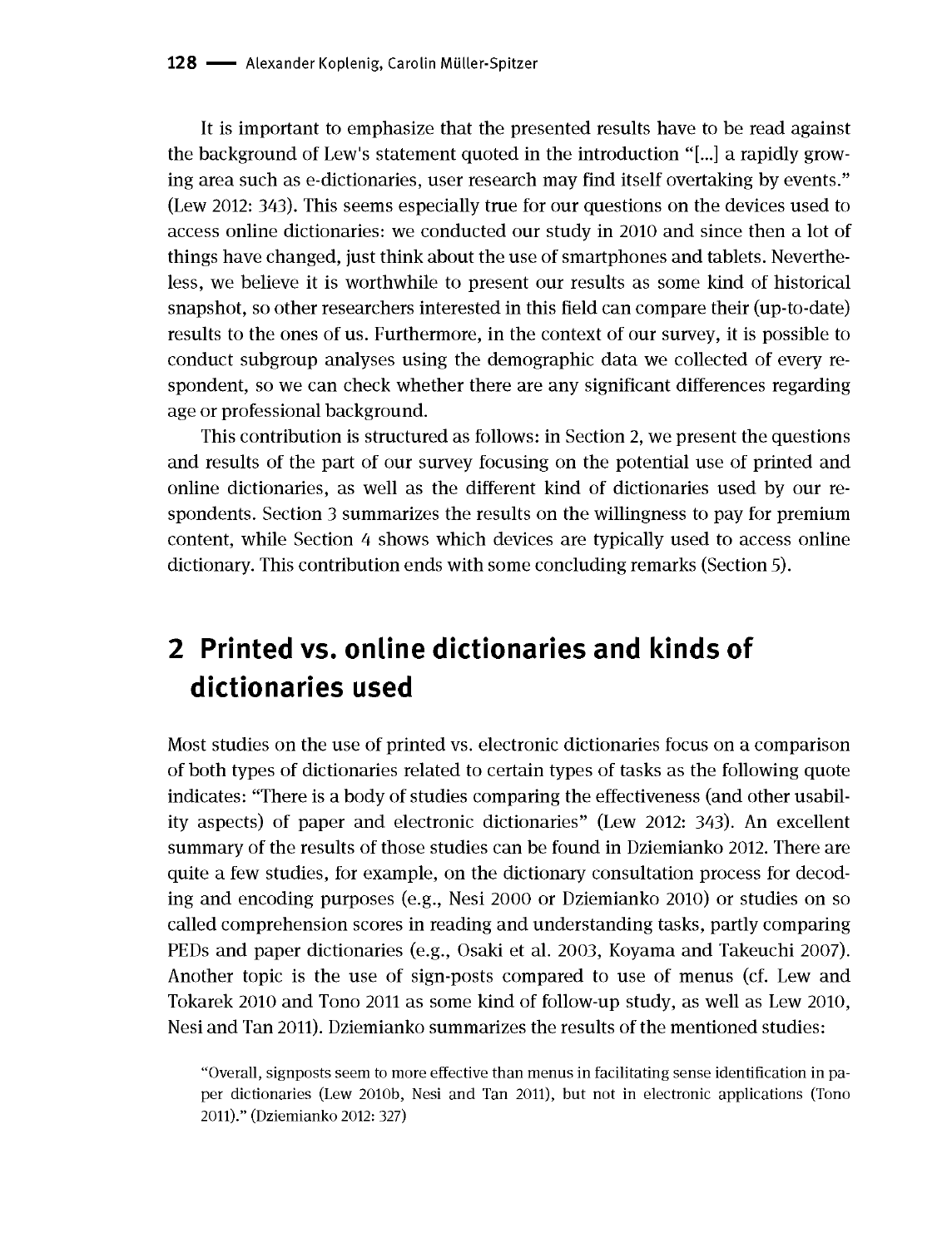It is important to emphasize that the presented results have to be read against the background of Lew's statement quoted in the introduction "[...] a rapidly growing area such as e-dictionaries, user research may find itself overtaking by events." (Lew 2012: 343). This seems especially true for our questions on the devices used to access online dictionaries: we conducted our study in 2010 and since then a lot of things have changed, just think about the use of smartphones and tablets. Nevertheless, we believe it is worthwhile to present our results as some kind of historical snapshot, so other researchers interested in this field can compare their (up-to-date) results to the ones of us. Furthermore, in the context of our survey, it is possible to conduct subgroup analyses using the demographic data we collected of every respondent, so we can check whether there are any significant differences regarding age or professional background.

This contribution is structured as follows: in Section 2, we present the questions and results of the part of our survey focusing on the potential use of printed and online dictionaries, as well as the different kind of dictionaries used by our respondents. Section 3 summarizes the results on the willingness to pay for premium content, while Section 4 shows which devices are typically used to access online dictionary. This contribution ends with some concluding remarks (Section 5).

# **2 Printed vs. online dictionaries and kinds of dictionaries used**

Most studies on the use of printed vs. electronic dictionaries focus on a comparison of both types of dictionaries related to certain types of tasks as the following quote indicates: "There is a body of studies comparing the effectiveness (and other usability aspects) of paper and electronic dictionaries" (Lew 2012: 343). An excellent summary of the results of those studies can be found in Dziemianko 2012. There are quite a few studies, for example, on the dictionary consultation process for decoding and encoding purposes (e.g., Nesi 2000 or Dziemianko 2010) or studies on so called comprehension scores in reading and understanding tasks, partly comparing PEDs and paper dictionaries (e.g., Osaki et al. 2003, Koyama and Takeuchi 2007). Another topic is the use of sign-posts compared to use of menus (cf. Lew and Tokarek 2010 and Tono 2011 as some kind of follow-up study, as well as Lew 2010, Nesi and Tan 2011). Dziemianko summarizes the results of the mentioned studies:

<sup>&</sup>quot;Overall, signposts seem to more effective than menus in facilitating sense Identification in paper dictionaries (Lew 2010b, Nesi and Tan 2011), but not in electronic applications (Tono 2011)." (Dziemianko 2012: 327)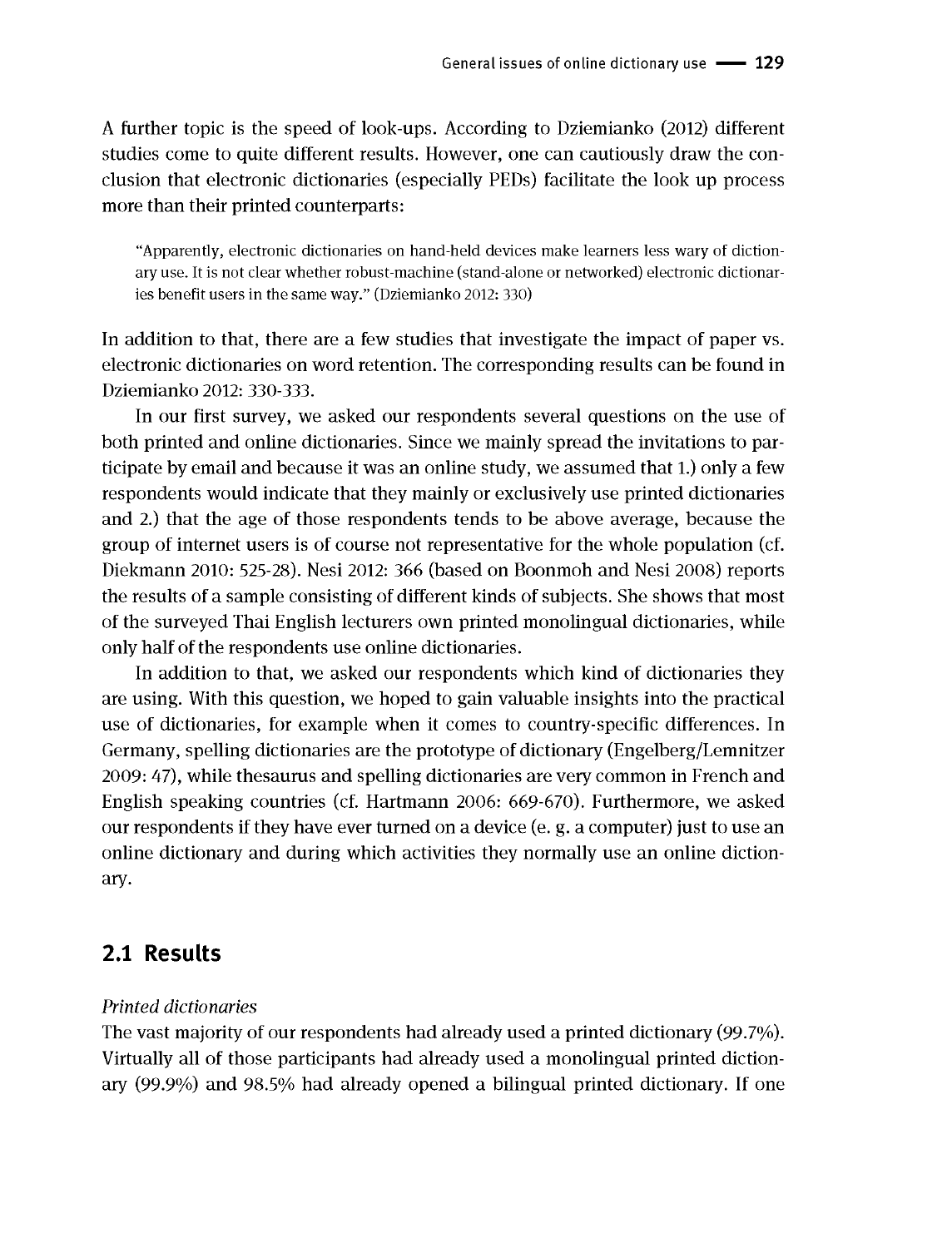A further topic is the speed of look-ups. According to Dziemianko (2012) different studies come to quite different results. However, one can cautiously draw the conclusion that electronic dictionaries (especially PEDs) facilitate the look up process more than their printed counterparts:

"Apparently, electronic dictionaries on hand-held devices make learners less wary of dictionary use. It is not clear whether robust-machine (stand-alone or networked) electronic dictionaries benefit users in the same way." (Dziemianko 2012: 330)

In addition to that, there are a few studies that investigate the impact of paper vs. electronic dictionaries on word retention. The corresponding results can be found in Dziemianko 2012: 330-333.

In our first survey, we asked our respondents several questions on the use of both printed and online dictionaries. Since we mainly spread the invitations to participate by email and because it was an online study, we assumed that 1.) only a few respondents would indicate that they mainly or exclusively use printed dictionaries and 2.) that the age of those respondents tends to be above average, because the group of internet users is of course not representative for the whole population (cf. Diekmann 2010: 525-28). Nesi 2012: 366 (based on Boonmoh and Nesi 2008) reports the results of a sample consisting of different kinds of subjects. She shows that most of the surveyed Thai English lecturers own printed monolingual dictionaries, while only half of the respondents use online dictionaries.

In addition to that, we asked our respondents which kind of dictionaries they are using. With this question, we hoped to gain valuable insights into the practical use of dictionaries, for example when it comes to country-specific differences. In Germany, spelling dictionaries are the prototype of dictionary (Engelberg/Lemnitzer 2009: 47), while thesaurus and spelling dictionaries are very common in French and English speaking countries (cf. Hartmann 2006: 669-670). Furthermore, we asked our respondents if they have ever turned on a device (e. g. a Computer) just to use an online dictionary and during which activities they normally use an online dictionary.

## **2.1 Results**

### *Printed dictionaries*

The vast majority of our respondents had already used a printed dictionary (99.*7%).* Virtually all of those participants had already used a monolingual printed dictionary (99.*9%)* and *98.5%* had already opened a bilingual printed dictionary. If one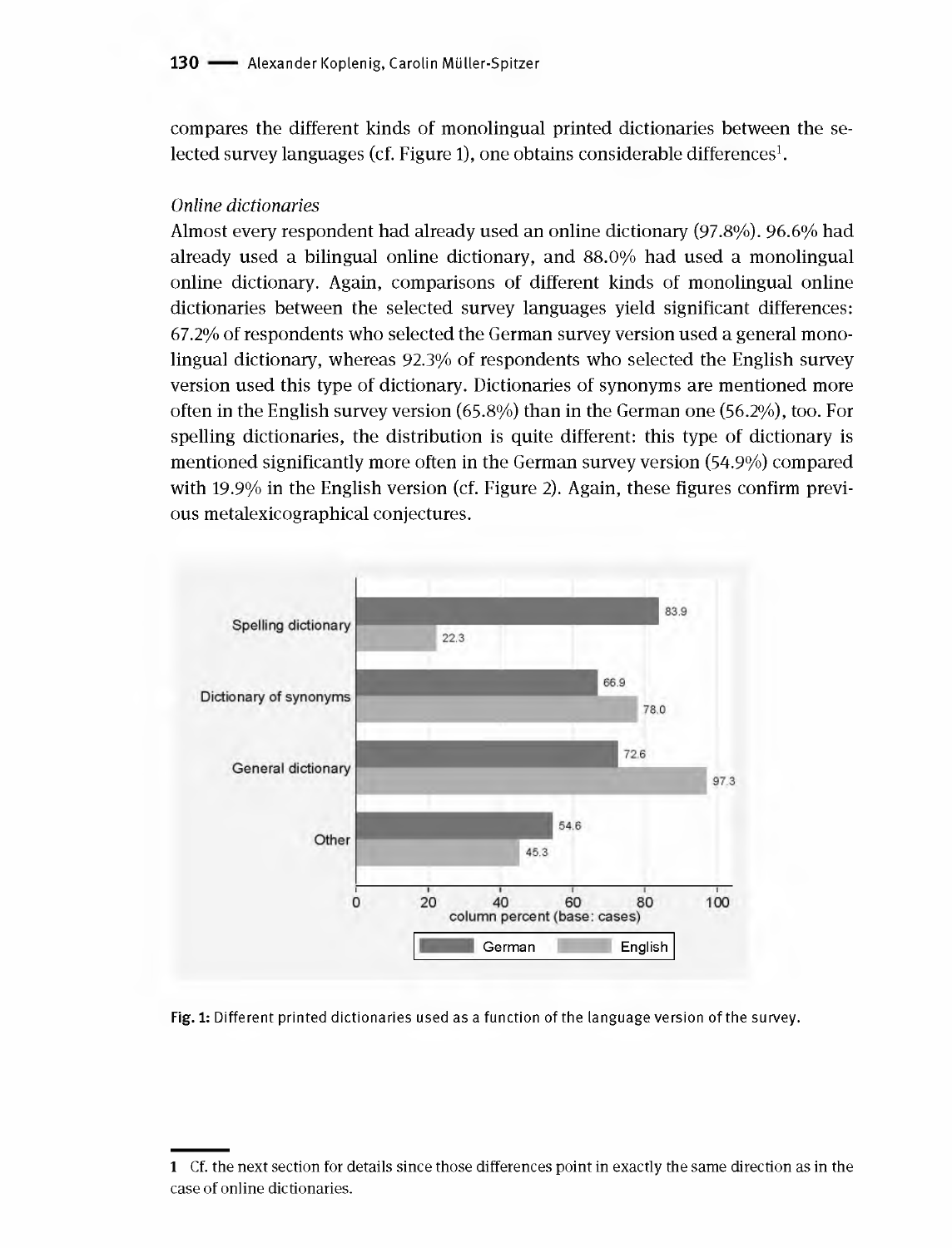compares the different kinds of monolingual printed dictionaries between the selected survey languages (cf. Figure 1), one obtains considerable differences<sup>1</sup>.

#### *Online dictionaries*

Almost every respondent had already used an online dictionary (97.8%). 96.6% had already used a bilingual online dictionary, and 88.0% had used a monolingual online dictionary. Again, comparisons of different kinds of monolingual online dictionaries between the selected survey languages yield significant differences: 67.2% of respondents who selected the German survey Version used a general monolingual dictionary, whereas 92.3% of respondents who selected the English survey version used this type of dictionary. Dictionaries of synonyms are mentioned more often in the English survey version (65.8%) than in the German one (56.2%), too. For spelling dictionaries, the distribution is quite different: this type of dictionary is mentioned significantly more often in the German survey version (54.9%) compared with 19.9% in the English version (cf. Figure 2). Again, these figures confirm previous metalexicographical conjectures.



Fig. 1: Different printed dictionaries used as a function of the language version of the survey.

<sup>1</sup> Cf. the next section for details since those differences point in exactly the same direction as in the case of online dictionaries.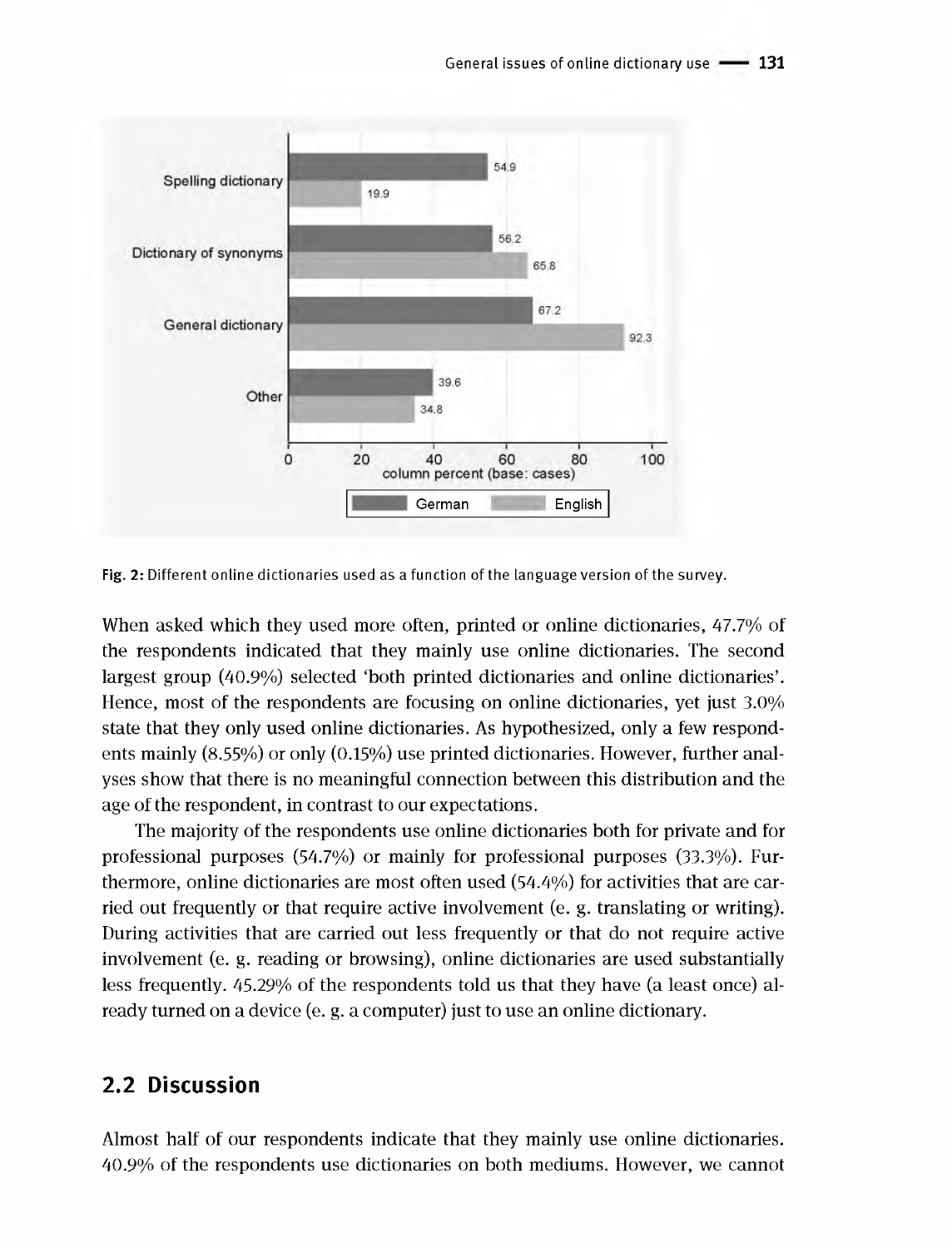

Fig. 2: Different online dictionaries used as a function of the language version of the survey.

When asked which they used more offen, printed or online dictionaries, 47.7% of the respondents indicated that they mainly use online dictionaries. The second largest group (40.9%) selected 'both printed dictionaries and online dictionaries'. Hence, most of the respondents are focusing on online dictionaries, yet just 3.0% state that they only used online dictionaries. As hypothesized, only a few respondents mainly (8.55%) or only (0.15%) use printed dictionaries. However, further analyses show that there is no meaningful Connection between this distribution and the age of the respondent, in contrast to our expectations.

The majority of the respondents use online dictionaries both for private and for professional purposes (54.7%) or mainly for professional purposes (33.3%). Furthermore, online dictionaries are most often used (54.4%) for activities that are carried out frequently or that require active involvement (e. g. translating or writing). During activities that are carried out less frequently or that do not require active involvement (e. g. reading or browsing), online dictionaries are used substantially less frequently. 45.29% of the respondents told us that they have (a least once) already turned on a device (e. g. a Computer) just to use an online dictionary.

### **2.2 Discussion**

Almost half of our respondents indicate that they mainly use online dictionaries. 40.9% of the respondents use dictionaries on both mediums. However, we cannot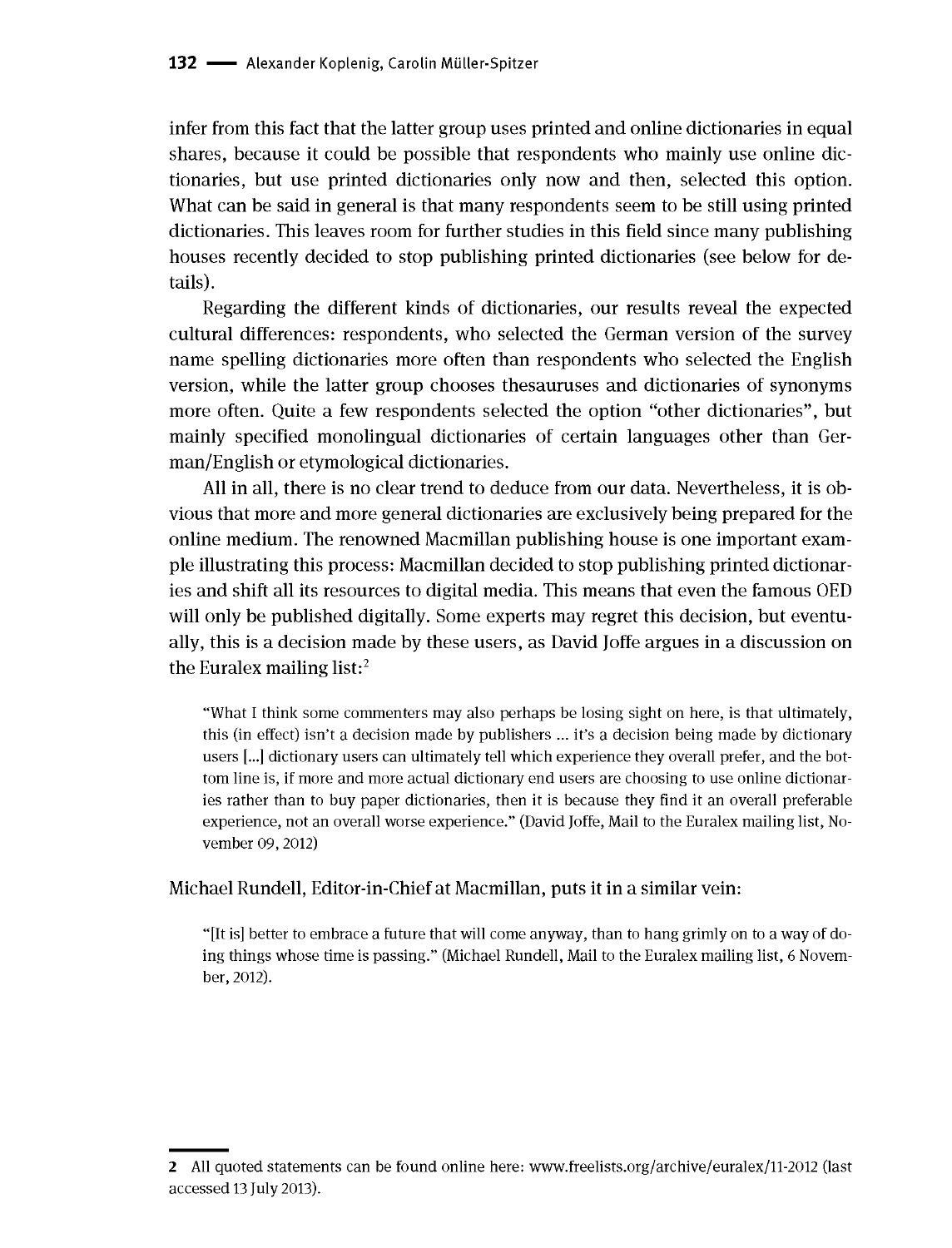infer from this fact that the latter group uses printed and online dictionaries in equal shares, because it could be possible that respondents who mainly use online dictionaries, but use printed dictionaries only now and then, selected this option. What can be said in general is that many respondents seem to be still using printed dictionaries. This leaves room for further studies in this field since many publishing houses recently decided to stop publishing printed dictionaries (see below for details).

Regarding the different kinds of dictionaries, our results reveal the expected cultural differences: respondents, who selected the German Version of the survey name spelling dictionaries more often than respondents who selected the English version, while the latter group chooses thesauruses and dictionaries of synonyms more often. Quite a few respondents selected the option "other dictionaries", but mainly specified monolingual dictionaries of certain languages other than German/English or etymological dictionaries.

All in all, there is no clear trend to deduce from our data. Nevertheless, it is obvious that more and more general dictionaries are exclusively being prepared for the online medium. The renowned Macmillan Publishing house is one important example illustrating this process: Macmillan decided to stop publishing printed dictionaries and shift all its resources to digital media. This means that even the famous OED will only be published digitally. Some experts may regret this decision, but eventually, this is a decision made by these users, as David Joffe argues in a discussion on the Euralex mailing list: $<sup>2</sup>$ </sup>

"What I think some commenters may also perhaps be losing sight on here, is that ultimately, this (in effect) isn't a decision made by publishers ... it's a decision being made by dictionary users [...] dictionary users can ultimately teil which experience they overall prefer, and the bottom line is, if more and more actual dictionary end users are choosing to use online dictionaries rather than to buy paper dictionaries, then it is because they find it an overall preferable experience, not an overall worse experience." (David Joffe, Mail to the Euralex mailing list, November 09, 2012)

### Michael Rundeil, Editor-in-Chief at Macmillan, puts it in a similar vein:

"[It is] better to embrace a future that will come anyway, than to hang grimly on to a way of doing things whose time is passing." (Michael Rundeil, Mail to the Euralex mailing list, 6 November, 2012).

<sup>2</sup> All quoted statements can be found online here: www.freelists.org/archive/euralex/11-2012 (last accessed 13 July 2013).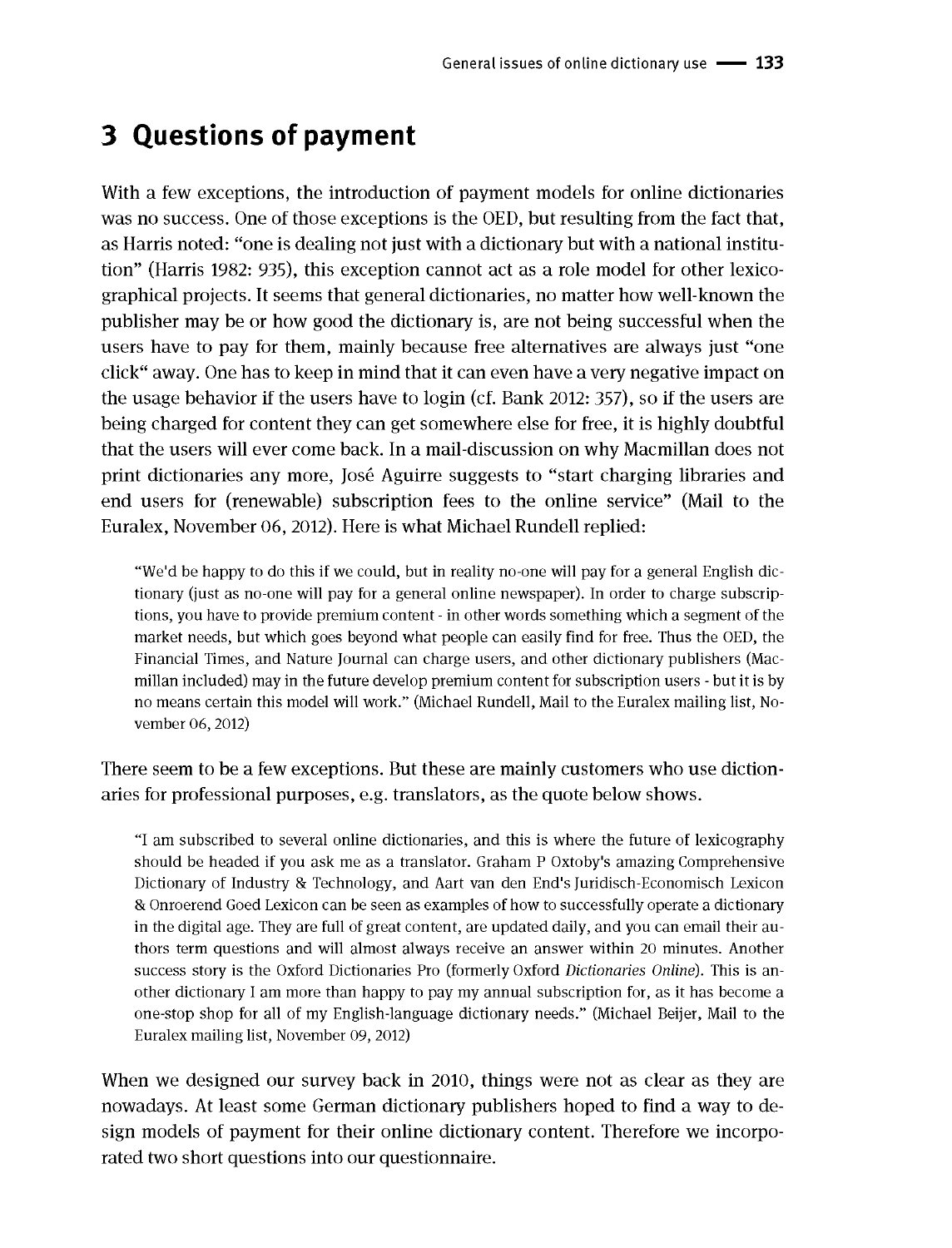# **3 Questions of payment**

With a few exceptions, the introduction of payment models for online dictionaries was no success. One of those exceptions is the OED, but resulting from the fact that, as Harris noted: "one is dealing not just with a dictionary but with a national institution" (Harris 1982: 935), this exception cannot act as a role model for other lexicographical projects. It seems that general dictionaries, no matter how well-known the publisher may be or how good the dictionary is, are not being successful when the users have to pay for them, mainly because free alternatives are always just "one dick" away. One has to keep in mind that it can even have a very negative impact on the usage behavior if the users have to login (cf. Bank 2012: 357), so if the users are being charged for content they can get somewhere eise for free, it is highly doubtful that the users will ever come back. In a mail-discussion on why Macmillan does not print dictionaries any more, José Aguirre suggests to "start charging libraries and end users for (renewable) subscription fees to the online service" (Mail to the Euralex, November 06, 2012). Here is what Michael Rundell replied:

"We'd be happy to do this if we could, but in reality no-one will pay for a general English dictionary (just as no-one will pay for a general online newspaper). In order to Charge subscriptions, you have to provide premium content - in other words something which a segment of the market needs, but which goes beyond what people can easily find for free. Thus the OED, the Financial Times, and Nature Journal can Charge users, and other dictionary publishers (Macmillan included) may in the future develop premium content for subscription users - but it is by no means certain this model will work." (Michael Rundell, Mail to the Euralex mailing list, November 06, 2012)

### There seem to be a few exceptions. But these are mainly customers who use dictionaries for Professional purposes, e.g. translators, as the quote below shows.

"I am subscribed to several online dictionaries, and this is where the future of lexicography should be headed if you ask me as a translator. Graham P Oxtoby's amazing Comprehensive Dictionary of Industry & Technology, and Aart van den End's Juridisch-Economisch Lexicon & Onroerend Goed Lexicon can be seen as examples of how to successfully operate a dictionary in the digital age. They are full of great content, are updated daily, and you can email their authors term questions and will almost always receive an answer within 20 minutes. Another success story is the Oxford Dictionaries Pro (formerly Oxford *Dictionaries Online*). This is another dictionary I am more than happy to pay my annual subscription for, as it has become a one-stop shop for all of my English-language dictionary needs." (Michael Beijer, Mail to the Euralex mailing list, November 09, 2012)

When we designed our survey back in 2010, things were not as clear as they are nowadays. At least some German dictionary publishers hoped to find a way to design models of payment for their online dictionary content. Therefore we incorporated two short questions into our questionnaire.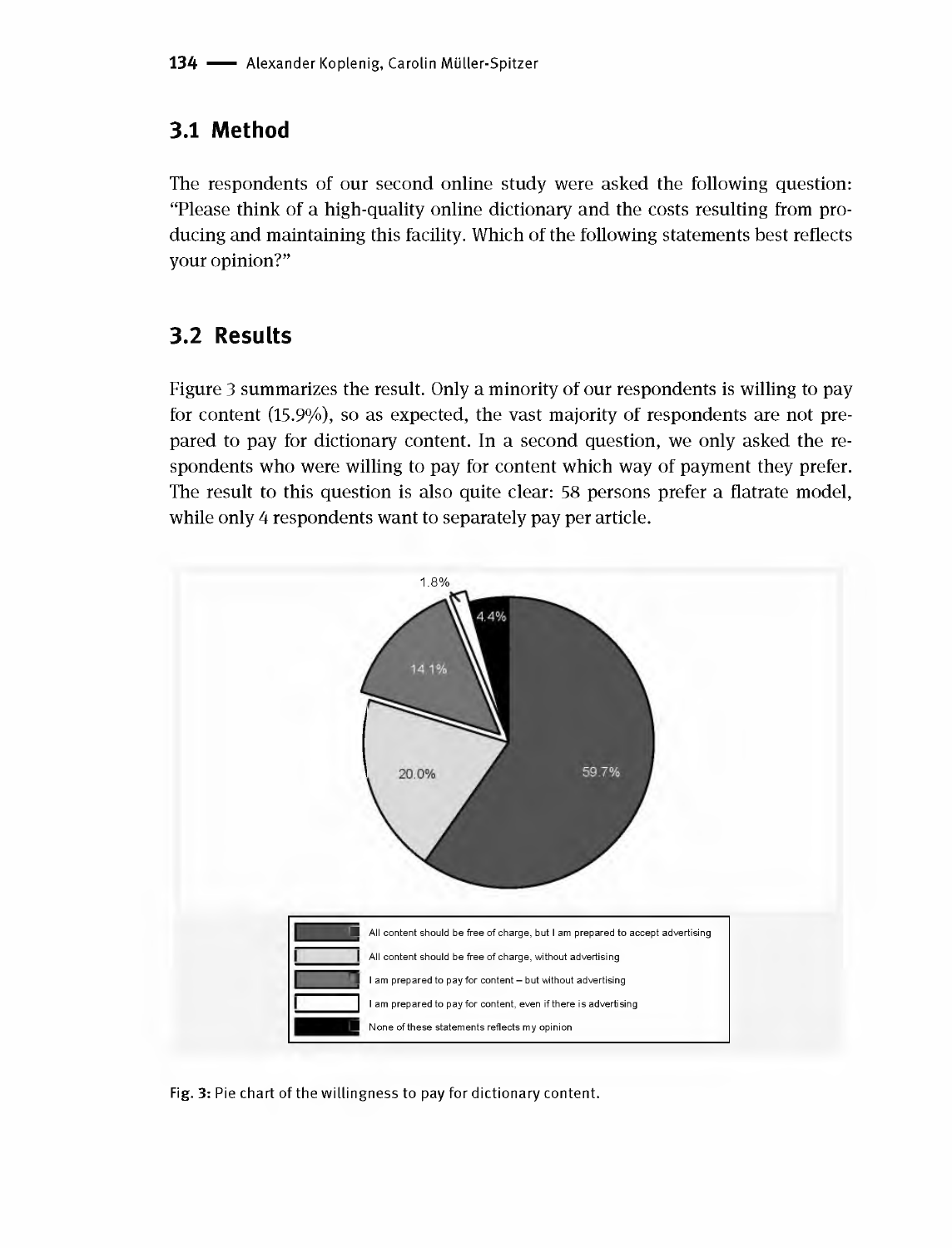## **3.1 Method**

The respondents of our second online study were asked the following question: "Please think of a high-quality online dictionary and the costs resulting from producing and maintaining this facility. Which of the following statements best reflects your opinion?"

## **3.2 Results**

Figure 3 summarizes the result. Only a minority of our respondents is willing to pay for content *(\5.9°/o),* so as expected, the vast majority of respondents are not prepared to pay for dictionary content. In a second question, we only asked the respondents who were willing to pay for content which way of payment they prefer. The result to this question is also quite clear: 58 persons prefer a fiatrate model, while only 4 respondents want to separately pay per article.



Fig. 3: Pie chart of the willingness to pay for dictionary content.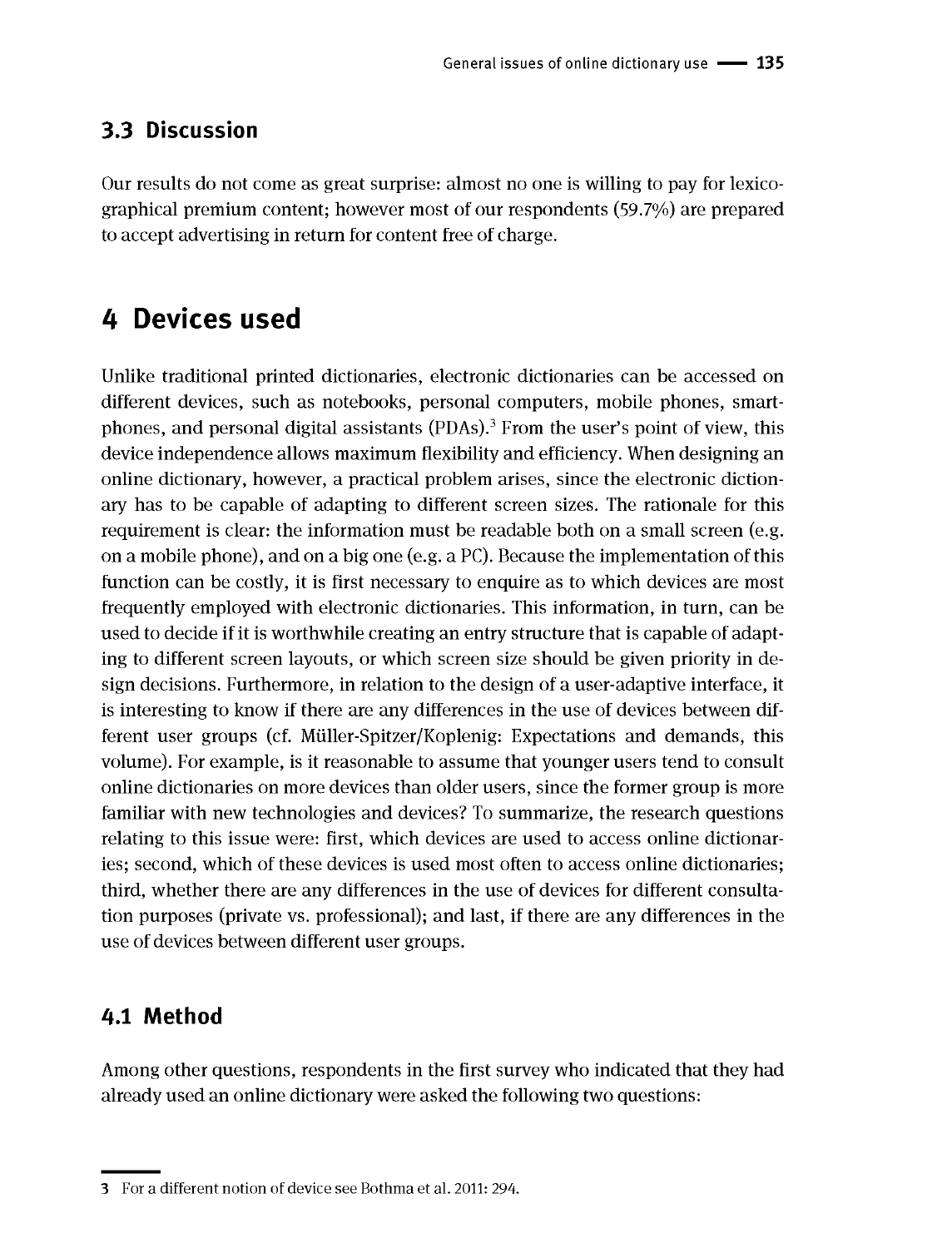## **3.3 Discussion**

Our results do not come as great surprise: almost no one is willing to pay for lexicographical premium content; however most of our respondents *(59.7%)* are prepared to accept advertising in return for content free of charge.

# **4 Devices used**

Unlike traditional printed dictionaries, electronic dictionaries can be accessed on different devices, such as notebooks, personal Computers, mobile phones, smartphones, and personal digital assistants (PDAs).3 From the user's point of view, this device independence allows maximum flexibility and efficiency. When designing an online dictionary, however, a practical problem arises, since the electronic dictionary has to be capable of adapting to different screen sizes. The rationale for this requirement is clear: the information must be readable both on a small screen (e.g. on a mobile phone), and on a big one (e.g. a PC). Because the implementation of this function can be costly, it is first necessary to enquire as to which devices are most frequently employed with electronic dictionaries. This information, in turn, can be used to decide if it is worthwhile creating an entry structure that is capable of adapting to different screen layouts, or which screen size should be given priority in design decisions. Furthermore, in relation to the design of a user-adaptive interface, it is interesting to know if there are any differences in the use of devices between different user groups (cf. Müller-Spitzer/Koplenig: Expectations and demands, this volume). For example, is it reasonable to assume that younger users tend to consult online dictionaries on more devices than older users, since the former group is more familiar with new technologies and devices? To summarize, the research questions relating to this issue were: first, which devices are used to access online dictionaries; second, which of these devices is used most often to access online dictionaries; third, whether there are any differences in the use of devices for different consultation purposes (private vs. Professional); and last, if there are any differences in the use of devices between different user groups.

## **4.1 Method**

Among other questions, respondents in the first survey who indicated that they had already used an online dictionary were asked the following two questions:

<sup>3</sup> For a different notion of device see Bothma et al. 2011: 294.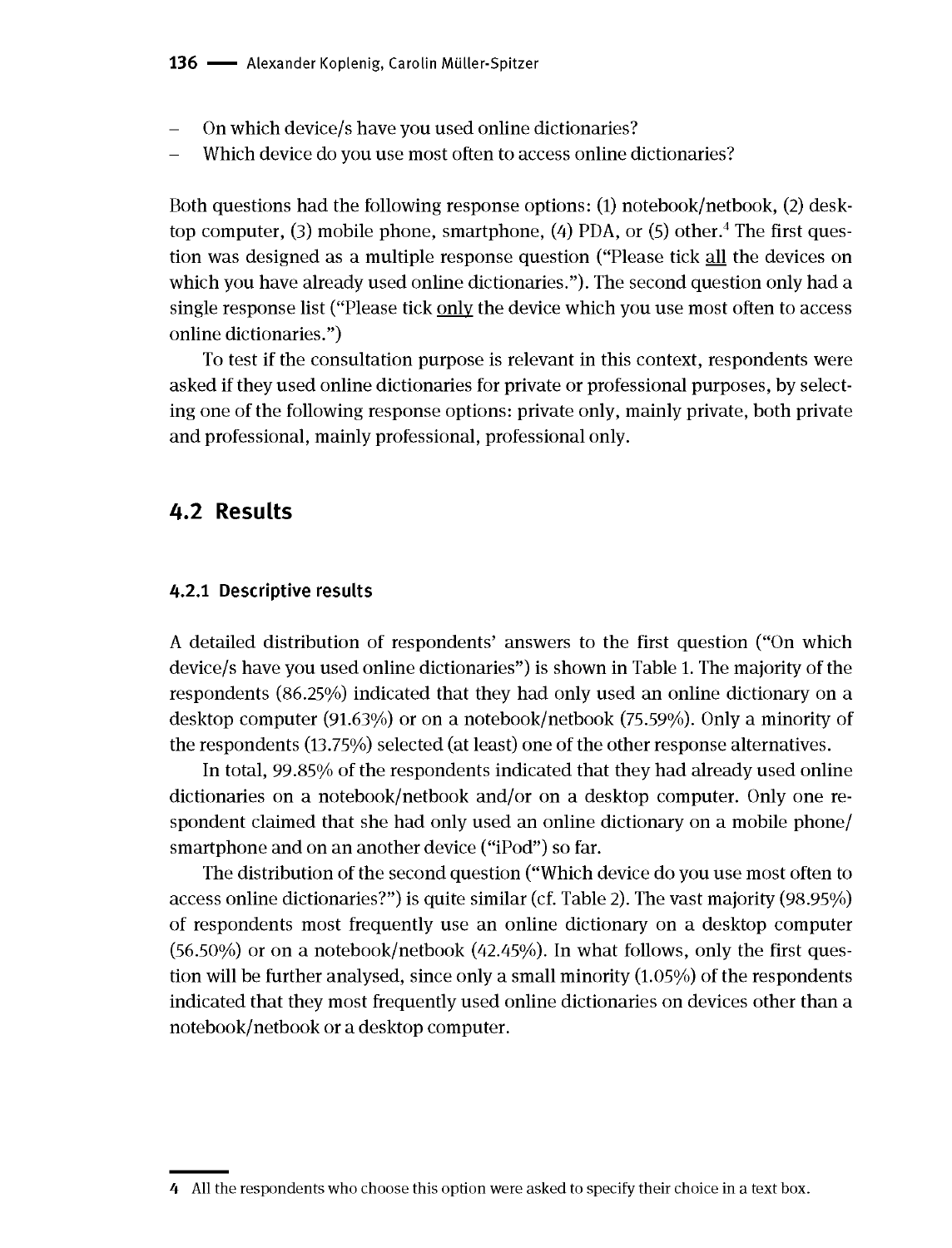- On which device/s have you used online dictionaries?
- Which device do you use most often to access online dictionaries?

Both questions had the following response options: (1) notebook/netbook, (2) desktop computer,  $(3)$  mobile phone, smartphone,  $(4)$  PDA, or  $(5)$  other.<sup>4</sup> The first question was designed as a multiple response question ("Please tick all the devices on which you have already used online dictionaries."). The second question only had a single response list ("Please tick onlv the device which you use most often to access online dictionaries.")

To test if the consultation purpose is relevant in this context, respondents were asked if they used online dictionaries for private or professional purposes, by selecting one of the following response options: private only, mainly private, both private and professional, mainly professional, professional only.

### **4.2 Results**

#### **4.2.1 Descriptive results**

A detailed distribution of respondents' answers to the first question ("On which device/s have you used online dictionaries") is shown in Table 1. The majority of the respondents (86.25%) indicated that they had only used an online dictionary on a desktop Computer (91.63%) or on a notebook/netbook (75.59%). Only a minority of the respondents (13.75%) selected (at least) one of the other response alternatives.

In total, 99.85% of the respondents indicated that they had already used online dictionaries on a notebook/netbook and/or on a desktop computer. Only one respondent claimed that she had only used an online dictionary on a mobile phone/ smartphone and on an another device ("iPod") so far.

The distribution of the second question ("Which device do you use most often to access online dictionaries?") is quite similar (cf. Table 2). The vast majority (98.95%) of respondents most frequently use an online dictionary on a desktop Computer (56.50%) or on a notebook/netbook (42.45%). In what follows, only the first question will be further analysed, since only a small minority (1.05%) of the respondents indicated that they most frequently used online dictionaries on devices other than a notebook/netbook or a desktop computer.

<sup>4</sup> All the respondents who choose this option were asked to specify their choice in a text box.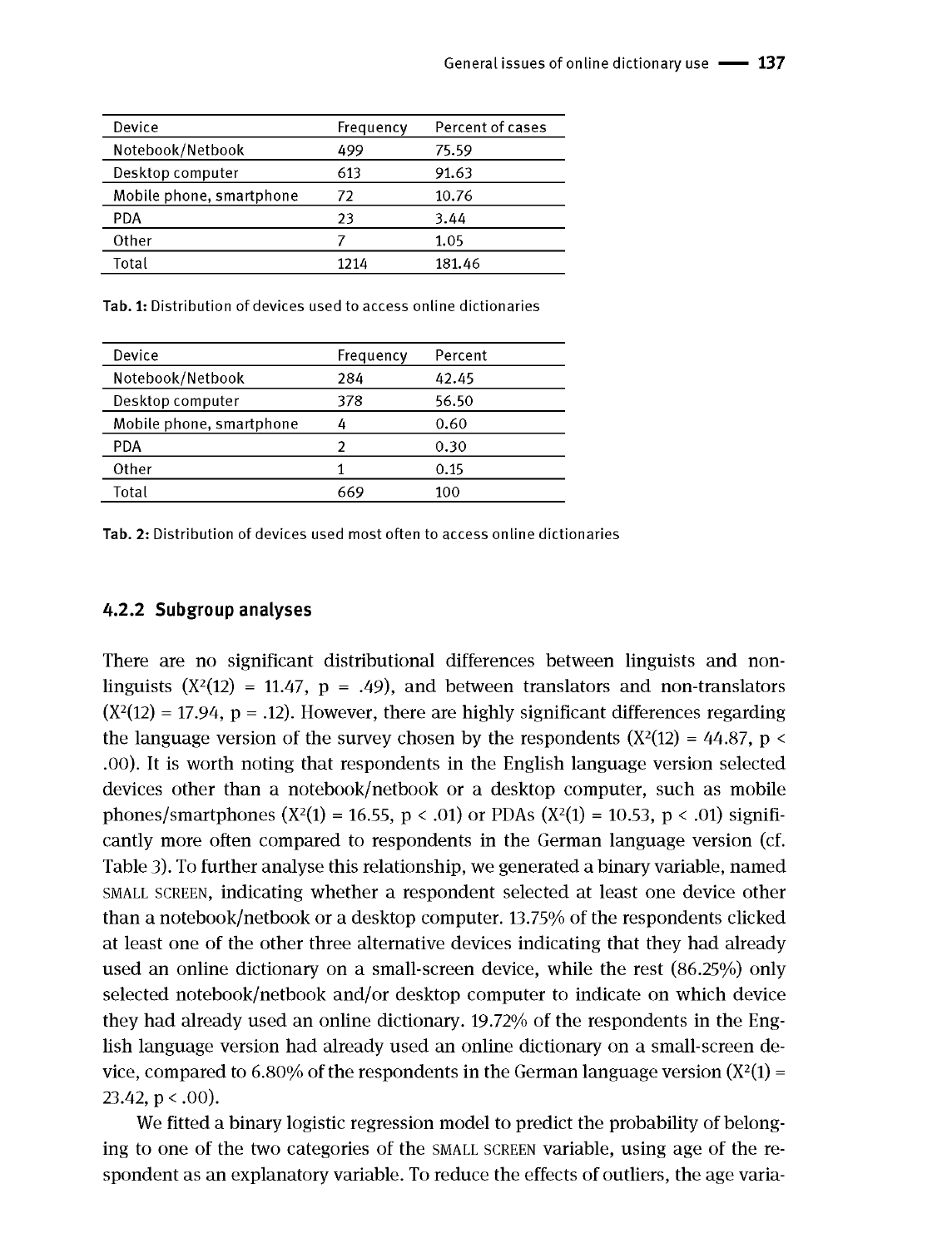| Device                   | Frequency | Percent of cases |
|--------------------------|-----------|------------------|
| Notebook/Netbook         | 499       | 75.59            |
| Desktop computer         | 613       | 91.63            |
| Mobile phone, smartphone | 72        | 10.76            |
| PDA                      | 23        | 3.44             |
| Other                    |           | 1.05             |
| Total                    | 1214      | 181.46           |

**Tab. 1:** Distribution of devices used to access online dictionaries

| Device                   | Frequency | Percent |
|--------------------------|-----------|---------|
| Notebook/Netbook         | 284       | 42.45   |
| Desktop computer         | 378       | 56.50   |
| Mobile phone, smartphone |           | 0.60    |
| <b>PDA</b>               | 7         | 0.30    |
| Other                    |           | 0.15    |
| Total                    | 669       | 100     |

**Tab. 2:** Distribution of devices used most often to access online dictionaries

#### **4.2.2 Subgroup analyses**

There are no significant distributional differences between linguists and nonlinguists  $(X^2(12) = 11.47, p = .49)$ , and between translators and non-translators  $(X<sup>2</sup>(12) = 17.94$ , p = .12). However, there are highly significant differences regarding the language version of the survey chosen by the respondents ( $X<sup>2</sup>(12) = 44.87$ , p < .00). It is worth noting that respondents in the English language Version selected devices other than a notebook/netbook or a desktop computer, such as mobile phones/smartphones (X<sup>2</sup>(1) = 16.55, p < .01) or PDAs (X<sup>2</sup>(1) = 10.53, p < .01) significantly more often compared to respondents in the German language version (cf. Table 3). To further analyse this relationship, we generated a binary variable, named small screen, indicating whether a respondent selected at least one device other than a notebook/netbook or a desktop Computer. 13.75% of the respondents clicked at least one of the other three alternative devices indicating that they had already used an online dictionary on a small-screen device, while the rest (86.25%) only selected notebook/netbook and/or desktop Computer to indicate on which device they had already used an online dictionary. 19.72% of the respondents in the English language Version had already used an online dictionary on a small-screen device, compared to 6.80% of the respondents in the German language version  $(X^2(1) =$ 23.42,  $p < .00$ ).

We fitted a binary logistic regression model to predict the probability of belonging to one of the two categories of the small screen variable, using age of the respondent as an explanatory variable. To reduce the effects of outliers, the age varia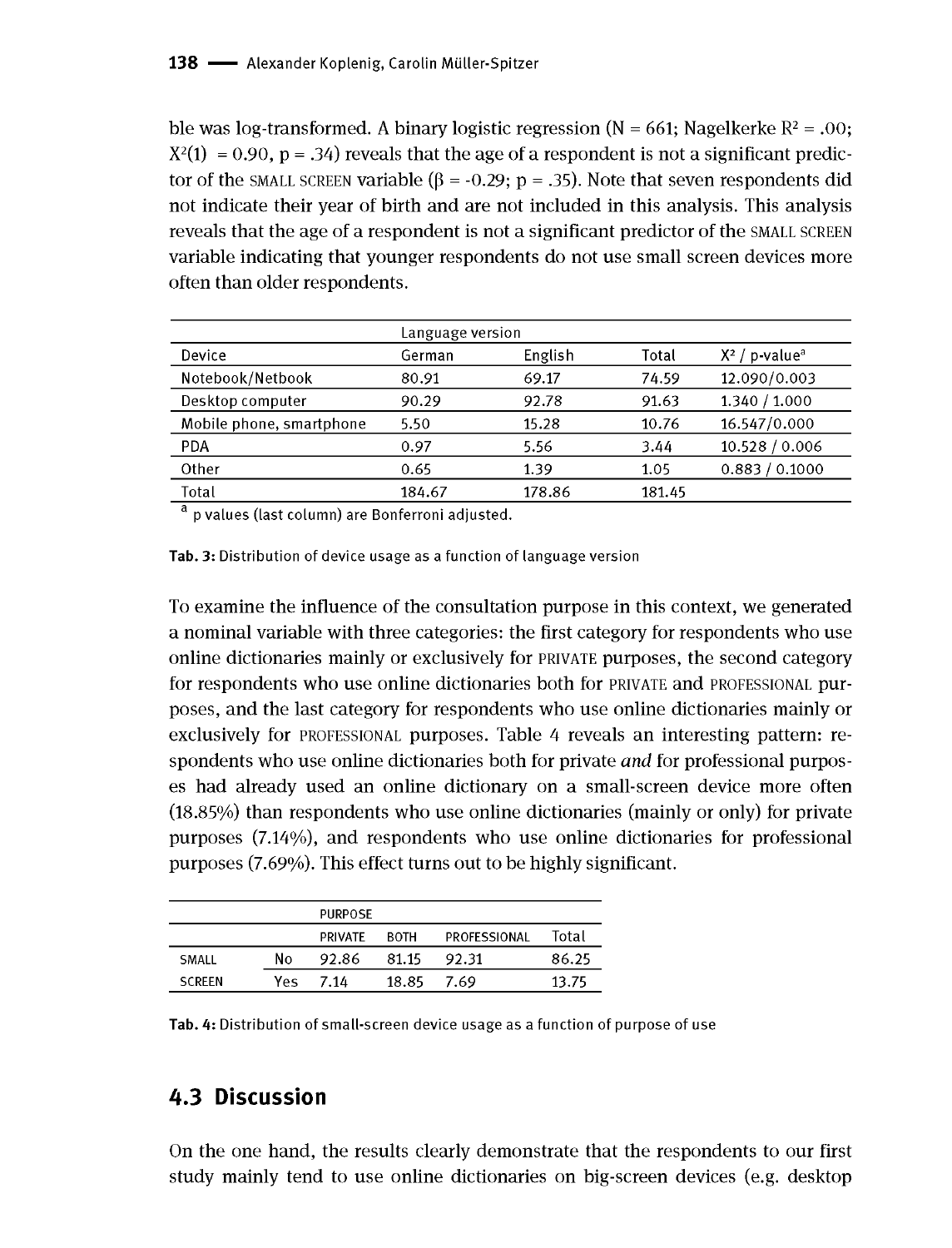ble was log-transformed. A binary logistic regression ( $N = 661$ ; Nagelkerke  $R^2 = .00$ ;  $X^2(1) = 0.90$ ,  $p = 0.34$  reveals that the age of a respondent is not a significant predictor of the SMALL SCREEN variable ( $\beta$  = -0.29; p = .35). Note that seven respondents did not indicate their year of birth and are not included in this analysis. This analysis reveals that the age of a respondent is not a significant predictor of the SMALL SCREEN variable indicating that younger respondents do not use small screen devices more often than older respondents.

|                          | Language version |         |        |                              |  |
|--------------------------|------------------|---------|--------|------------------------------|--|
| Device                   | German           | English | Total  | $X^2$ / p-value <sup>a</sup> |  |
| Notebook/Netbook         | 80.91            | 69.17   | 74.59  | 12.090/0.003                 |  |
| Desktop computer         | 90.29            | 92.78   | 91.63  | 1.340 / 1.000                |  |
| Mobile phone, smartphone | 5.50             | 15.28   | 10.76  | 16.547/0.000                 |  |
| <b>PDA</b>               | 0.97             | 5.56    | 3.44   | 10.528 / 0.006               |  |
| Other                    | 0.65             | 1.39    | 1.05   | 0.883 / 0.1000               |  |
| Total                    | 184.67           | 178.86  | 181.45 |                              |  |

a p values (last column) are Bonferroni adjusted.

**Tab. 3:** Distribution of device usage as a function of language version

To examine the influence of the consultation purpose in this context, we generated a nominal variable with three categories: the first category for respondents who use online dictionaries mainly or exclusively for PRIVATE purposes, the second category for respondents who use online dictionaries both for PRIVATE and PROFESSIONAL purposes, and the last category for respondents who use online dictionaries mainly or exclusively for PROFESSIONAL purposes. Table 4 reveals an interesting pattern: respondents who use online dictionaries both for private *and* for professional purposes had already used an online dictionary on a small-screen device more often (18.85%) than respondents who use online dictionaries (mainly or only) for private purposes  $(7.14\%)$ , and respondents who use online dictionaries for professional purposes (7.69%)- This effect turns out to be highly significant.

|               |     | <b>PURPOSE</b> |             |              |       |  |
|---------------|-----|----------------|-------------|--------------|-------|--|
|               |     | <b>PRIVATE</b> | <b>BOTH</b> | PROFESSIONAL | Total |  |
| SMALL         | No  | 92.86          | 81.15       | 92.31        | 86.25 |  |
| <b>SCREEN</b> | Yes | 7.14           | 18.85       | 7.69         | 13.75 |  |

**Tab. 4:** Distribution of small-screen device usage as a function of purpose of use

## **4.3 Discussion**

On the one hand, the results clearly demonstrate that the respondents to our first study mainly tend to use online dictionaries on big-screen devices (e.g. desktop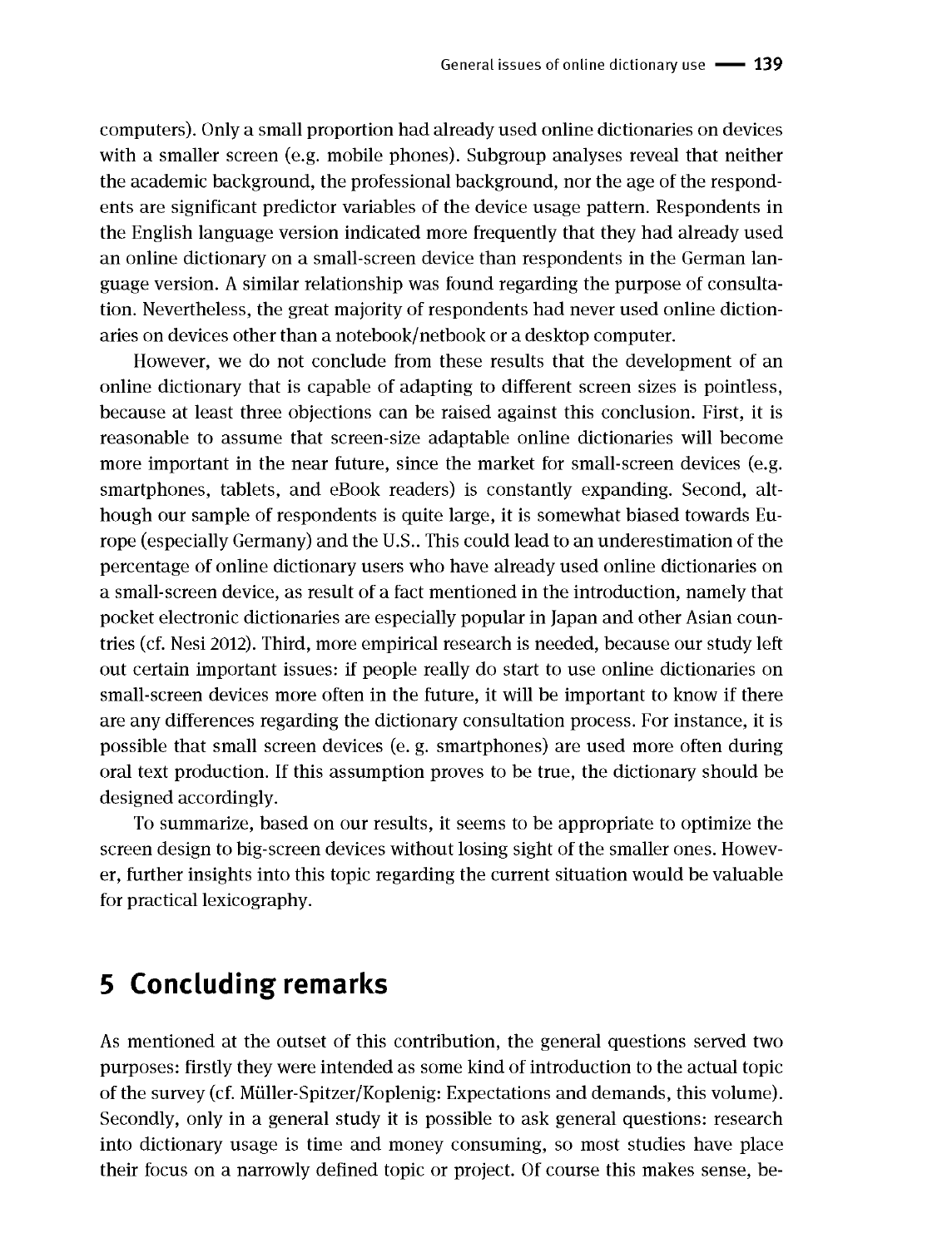Computers). Only a small proportion had already used online dictionaries on devices with a smaller screen (e.g. mobile phones). Subgroup analyses reveal that neither the academic background, the professional background, nor the age of the respondents are significant predictor variables of the device usage pattern. Respondents in the English language Version indicated more frequently that they had already used an online dictionary on a small-screen device than respondents in the German language version. A similar relationship was found regarding the purpose of consultation. Nevertheless, the great majority of respondents had never used online dictionaries on devices other than a notebook/netbook or a desktop computer.

However, we do not conclude from these results that the development of an online dictionary that is capable of adapting to different screen sizes is pointless, because at least three objections can be raised against this conclusion. First, it is reasonable to assume that screen-size adaptable online dictionaries will become more important in the near future, since the market for small-screen devices (e.g. smartphones, tablets, and eBook readers) is constantly expanding. Second, although our sample of respondents is quite large, it is somewhat biased towards Europe (especially Germany) and the U.S.. This could lead to an underestimation of the percentage of online dictionary users who have already used online dictionaries on a small-screen device, as result of a fact mentioned in the introduction, namely that pocket electronic dictionaries are especially popular in Japan and other Asian countries (cf. Nesi 2012). Third, more empirical research is needed, because our study left out certain important issues: if people really do Start to use online dictionaries on small-screen devices more often in the future, it will be important to know if there are any differences regarding the dictionary consultation process. For instance, it is possible that small screen devices (e. g. smartphones) are used more often during oral text production. If this assumption proves to be true, the dictionary should be designed accordingly.

To summarize, based on our results, it seems to be appropriate to optimize the screen design to big-screen devices without losing sight of the smaller ones. However, further insights into this topic regarding the current Situation would be valuable for practical lexicography.

# **5 Concluding remarks**

As mentioned at the outset of this contribution, the general questions served two purposes: firstly they were intended as some kind of introduction to the actual topic of the survey (cf. Müller-Spitzer/Koplenig: Expectations and demands, this volume). Secondly, only in a general study it is possible to ask general questions: research into dictionary usage is time and money consuming, so most studies have place their focus on a narrowly defined topic or project. Of course this makes sense, be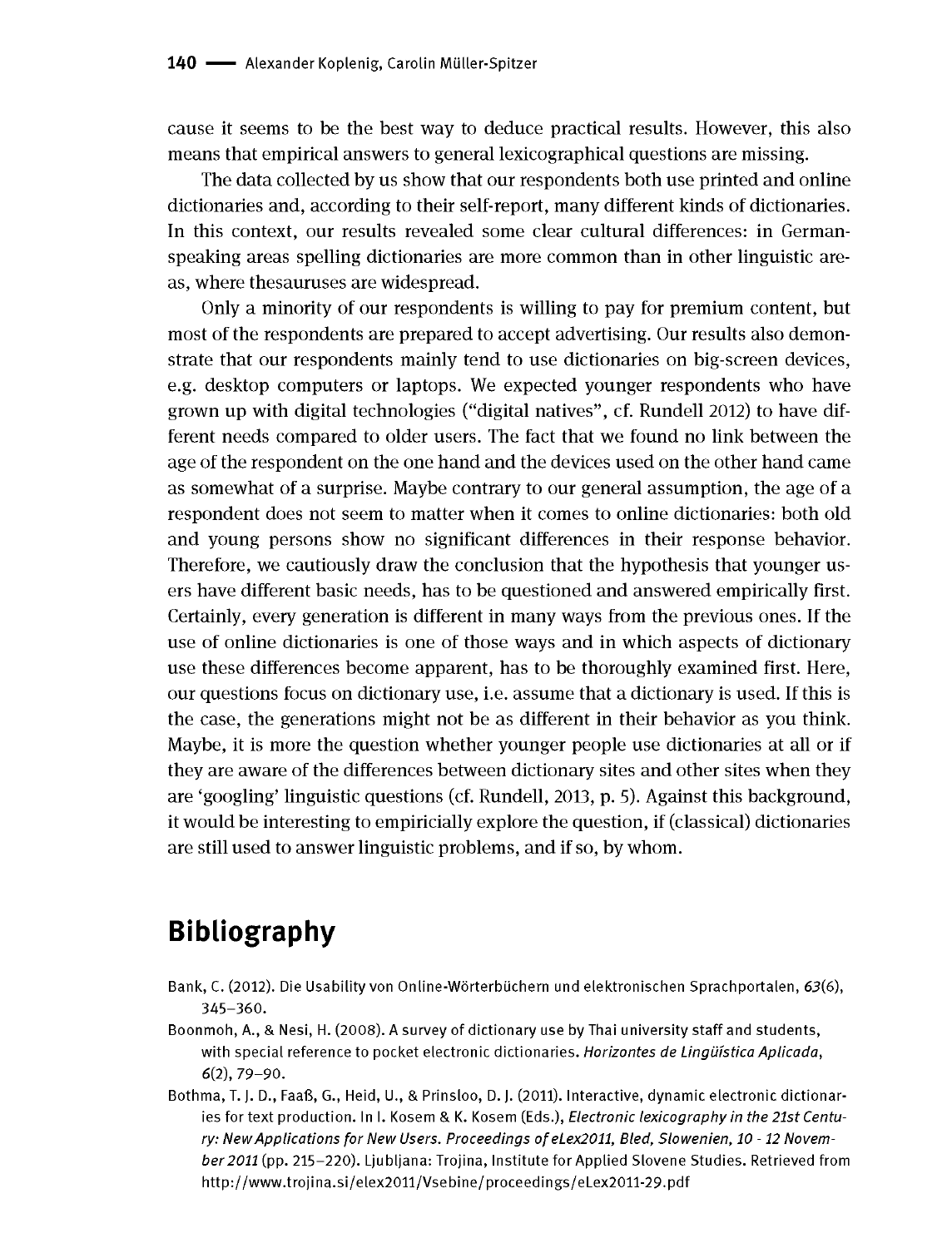cause it seems to be the best way to deduce practical results. However, this also means that empirical answers to general lexicographical questions are missing.

The data collected by us show that our respondents both use printed and online dictionaries and, according to their self-report, many different kinds of dictionaries. In this context, our results revealed some clear cultural differences: in Germanspeaking areas spelling dictionaries are more common than in other linguistic areas, where thesauruses are widespread.

Only a minority of our respondents is willing to pay for premium content, but most of the respondents are prepared to accept advertising. Our results also demonstrate that our respondents mainly tend to use dictionaries on big-screen devices, e.g. desktop computers or laptops. We expected younger respondents who have grown up with digital technologies ("digital natives", cf. Rundeil 2012) to have different needs compared to older users. The fact that we found no link between the age of the respondent on the one hand and the devices used on the other hand came as somewhat of a surprise. Maybe contrary to our general assumption, the age of a respondent does not seem to matter when it comes to online dictionaries: both old and young persons show no significant differences in their response behavior. Therefore, we cautiously draw the conclusion that the hypothesis that younger users have different basic needs, has to be questioned and answered empirically first. Certainly, every generation is different in many ways from the previous ones. If the use of online dictionaries is one of those ways and in which aspects of dictionary use these differences become apparent, has to be thoroughly examined first. Here, our questions focus on dictionary use, i.e. assume that a dictionary is used. If this is the case, the generations might not be as different in their behavior as you think. Maybe, it is more the question whether younger people use dictionaries at all or if they are aware of the differences between dictionary sites and other sites when they are 'googling' linguistic questions (cf. Rundeil, 2013, p. 5). Against this background, it would be interesting to empiricially explore the question, if (classical) dictionaries are still used to answer linguistic problems, and if so, by whom.

# **Bibliography**

- Bank, C. (2012). Die Usability von Online-Wörterbüchern und elektronischen Sprachportalen, 63(6), 345-360.
- Boonmoh, A., & Nesi, H. (2008). A survey of dictionary use by Thai university staff and students, with special reference to pocket electronic dictionaries. *Horizontes de Lingüística Aplicada,*  $6(2)$ , 79-90.
- Bothma, T. J. D., Faaß, G., Heid, U., & Prinsloo, D. J. (2011). Interactive, dynamic electronic dictionaries for text production. In I. Kosem & K. Kosem (Eds.), *Electronic lexicography in the 21st Century: New Applications for New Users. Proceedings ofeLex2011, Bled, Slowenien, 10 -12 November 2011* (pp. 215-220). Ljubljana: Trojina, Institute for Applied Slovene Studies. Retrieved from http://www.trojina.si/elex2011/Vsebine/proceedings/eLex2011-29.pdf